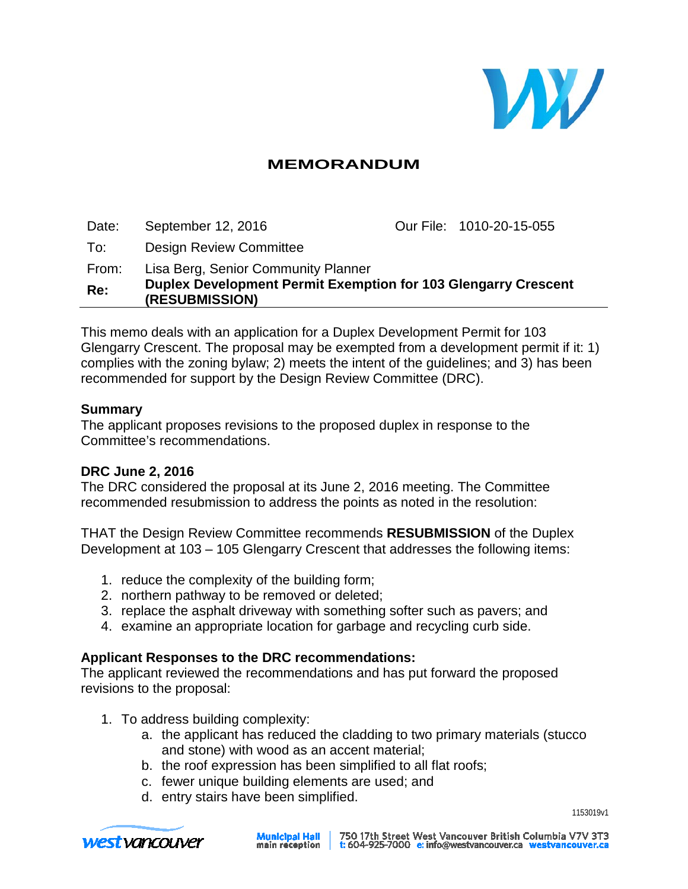

### **MEMORANDUM**

Date: September 12, 2016 **Our File: 1010-20-15-055** To: Design Review Committee From: Lisa Berg, Senior Community Planner **Re: Duplex Development Permit Exemption for 103 Glengarry Crescent (RESUBMISSION)**

This memo deals with an application for a Duplex Development Permit for 103 Glengarry Crescent. The proposal may be exempted from a development permit if it: 1) complies with the zoning bylaw; 2) meets the intent of the guidelines; and 3) has been recommended for support by the Design Review Committee (DRC).

#### **Summary**

The applicant proposes revisions to the proposed duplex in response to the Committee's recommendations.

#### **DRC June 2, 2016**

The DRC considered the proposal at its June 2, 2016 meeting. The Committee recommended resubmission to address the points as noted in the resolution:

THAT the Design Review Committee recommends **RESUBMISSION** of the Duplex Development at 103 – 105 Glengarry Crescent that addresses the following items:

- 1. reduce the complexity of the building form;
- 2. northern pathway to be removed or deleted;
- 3. replace the asphalt driveway with something softer such as pavers; and
- 4. examine an appropriate location for garbage and recycling curb side.

#### **Applicant Responses to the DRC recommendations:**

The applicant reviewed the recommendations and has put forward the proposed revisions to the proposal:

- 1. To address building complexity:
	- a. the applicant has reduced the cladding to two primary materials (stucco and stone) with wood as an accent material;
	- b. the roof expression has been simplified to all flat roofs;
	- c. fewer unique building elements are used; and
	- d. entry stairs have been simplified.



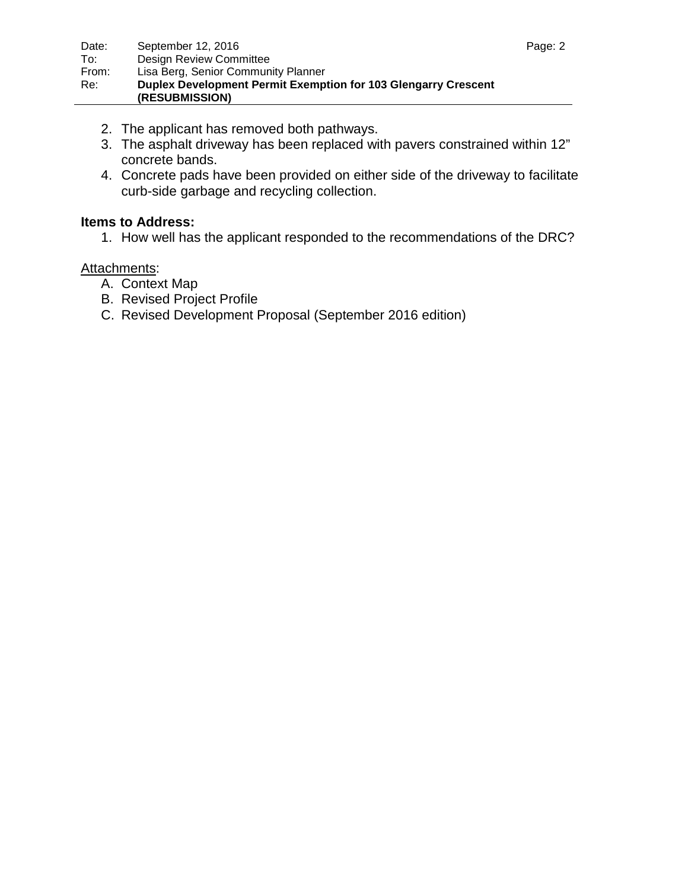- 2. The applicant has removed both pathways.
- 3. The asphalt driveway has been replaced with pavers constrained within 12" concrete bands.
- 4. Concrete pads have been provided on either side of the driveway to facilitate curb-side garbage and recycling collection.

### **Items to Address:**

1. How well has the applicant responded to the recommendations of the DRC?

### Attachments:

- A. Context Map
- B. Revised Project Profile
- C. Revised Development Proposal (September 2016 edition)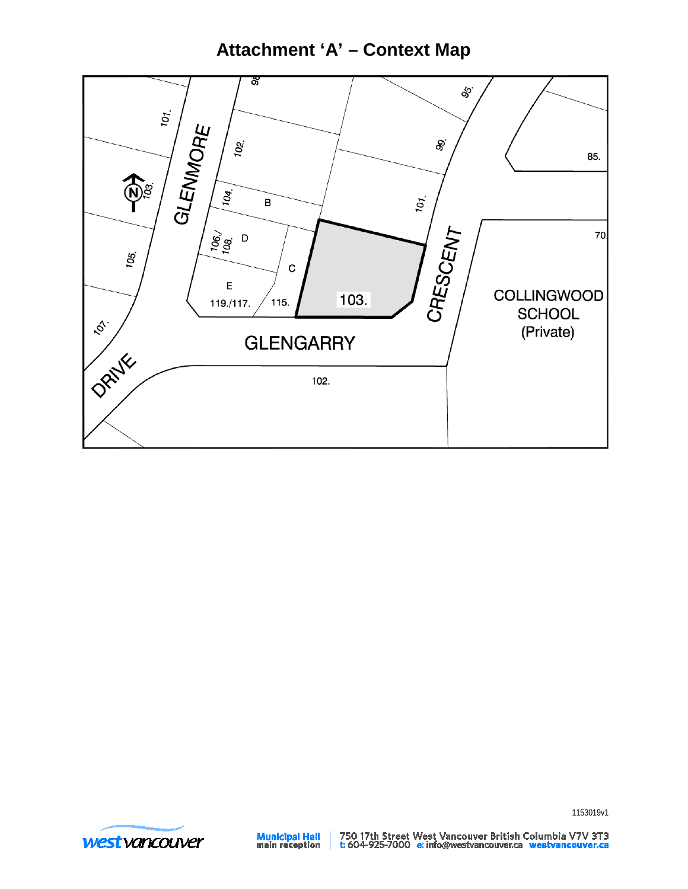## **Attachment 'A' - Context Map**





**Municipal Hall**<br>main reception

750 17th Street West Vancouver British Columbia V7V 3T3<br>t: 604-925-7000 e: info@westvancouver.ca westvancouver.ca

1153019v1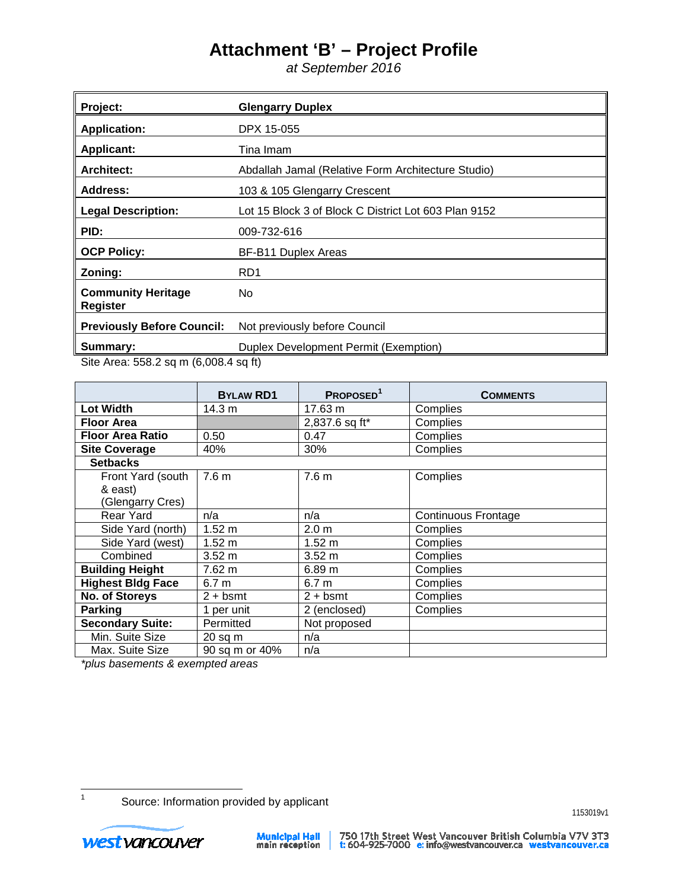# **Attachment 'B' – Project Profile**

*at September 2016*

| Project:                                     | <b>Glengarry Duplex</b>                              |
|----------------------------------------------|------------------------------------------------------|
| <b>Application:</b>                          | DPX 15-055                                           |
| <b>Applicant:</b>                            | Tina Imam                                            |
| <b>Architect:</b>                            | Abdallah Jamal (Relative Form Architecture Studio)   |
| Address:                                     | 103 & 105 Glengarry Crescent                         |
| <b>Legal Description:</b>                    | Lot 15 Block 3 of Block C District Lot 603 Plan 9152 |
| PID:                                         | 009-732-616                                          |
| <b>OCP Policy:</b>                           | BF-B11 Duplex Areas                                  |
| Zoning:                                      | R <sub>D</sub> 1                                     |
| <b>Community Heritage</b><br><b>Register</b> | No.                                                  |
| <b>Previously Before Council:</b>            | Not previously before Council                        |
| Summary:                                     | Duplex Development Permit (Exemption)                |

Site Area: 558.2 sq m (6,008.4 sq ft)

|                          | <b>BYLAW RD1</b> | PROPOSED <sup>1</sup> | <b>COMMENTS</b>            |
|--------------------------|------------------|-----------------------|----------------------------|
| <b>Lot Width</b>         | 14.3 m           | 17.63 m               | Complies                   |
| <b>Floor Area</b>        |                  | 2,837.6 sq ft*        | Complies                   |
| <b>Floor Area Ratio</b>  | 0.50             | 0.47                  | Complies                   |
| <b>Site Coverage</b>     | 40%              | 30%                   | Complies                   |
| <b>Setbacks</b>          |                  |                       |                            |
| Front Yard (south        | 7.6 <sub>m</sub> | 7.6 <sub>m</sub>      | Complies                   |
| & east)                  |                  |                       |                            |
| (Glengarry Cres)         |                  |                       |                            |
| <b>Rear Yard</b>         | n/a              | n/a                   | <b>Continuous Frontage</b> |
| Side Yard (north)        | $1.52 \text{ m}$ | 2.0 <sub>m</sub>      | Complies                   |
| Side Yard (west)         | 1.52 m           | 1.52 m                | Complies                   |
| Combined                 | $3.52 \; m$      | $3.52 \; m$           | Complies                   |
| <b>Building Height</b>   | 7.62 m           | 6.89 m                | Complies                   |
| <b>Highest Bldg Face</b> | 6.7 <sub>m</sub> | 6.7 <sub>m</sub>      | Complies                   |
| No. of Storeys           | $2 + b$ smt      | $2 + b$ smt           | Complies                   |
| <b>Parking</b>           | per unit         | 2 (enclosed)          | Complies                   |
| Secondary Suite:         | Permitted        | Not proposed          |                            |
| Min. Suite Size          | $20$ sq m        | n/a                   |                            |
| Max. Suite Size          | 90 sq m or 40%   | n/a                   |                            |

*\*plus basements & exempted areas*

<span id="page-3-0"></span> $\mathbf{1}$ 

Source: Information provided by applicant